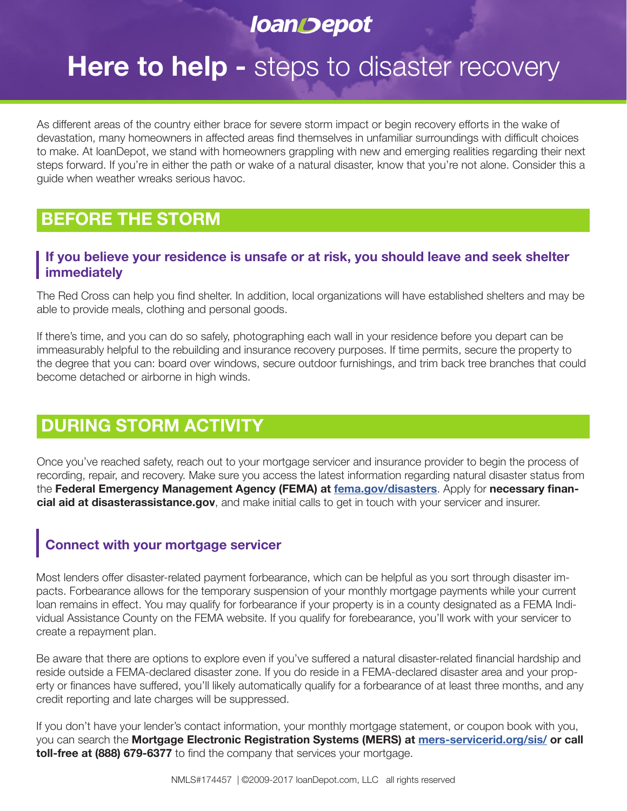# **loanDepot**

# **Here to help - steps to disaster recovery**

As different areas of the country either brace for severe storm impact or begin recovery efforts in the wake of devastation, many homeowners in affected areas find themselves in unfamiliar surroundings with difficult choices to make. At loanDepot, we stand with homeowners grappling with new and emerging realities regarding their next steps forward. If you're in either the path or wake of a natural disaster, know that you're not alone. Consider this a guide when weather wreaks serious havoc.

### **BEFORE THE STORM**

#### **If you believe your residence is unsafe or at risk, you should leave and seek shelter immediately**

The Red Cross can help you find shelter. In addition, local organizations will have established shelters and may be able to provide meals, clothing and personal goods.

If there's time, and you can do so safely, photographing each wall in your residence before you depart can be immeasurably helpful to the rebuilding and insurance recovery purposes. If time permits, secure the property to the degree that you can: board over windows, secure outdoor furnishings, and trim back tree branches that could become detached or airborne in high winds.

## **DURING STORM ACTIVITY**

Once you've reached safety, reach out to your mortgage servicer and insurance provider to begin the process of recording, repair, and recovery. Make sure you access the latest information regarding natural disaster status from the **Federal Emergency Management Agency (FEMA) at fema.gov/disasters**. Apply for **necessary financial aid at disasterassistance.gov**, and make initial calls to get in touch with your servicer and insurer.

### **Connect with your mortgage servicer**

Most lenders offer disaster-related payment forbearance, which can be helpful as you sort through disaster impacts. Forbearance allows for the temporary suspension of your monthly mortgage payments while your current loan remains in effect. You may qualify for forbearance if your property is in a county designated as a FEMA Individual Assistance County on the FEMA website. If you qualify for forebearance, you'll work with your servicer to create a repayment plan.

Be aware that there are options to explore even if you've suffered a natural disaster-related financial hardship and reside outside a FEMA-declared disaster zone. If you do reside in a FEMA-declared disaster area and your property or finances have suffered, you'll likely automatically qualify for a forbearance of at least three months, and any credit reporting and late charges will be suppressed.

If you don't have your lender's contact information, your monthly mortgage statement, or coupon book with you, you can search the **Mortgage Electronic Registration Systems (MERS) at mers-servicerid.org/sis/ or call toll-free at (888) 679-6377** to find the company that services your mortgage.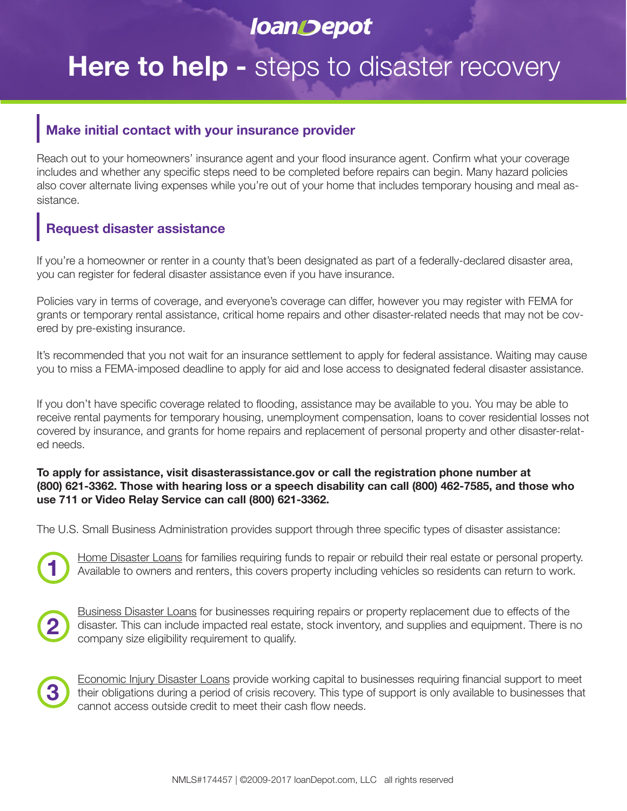# **loanDepot**

# **Here to help -** steps to disaster recovery

#### **Make initial contact with your insurance provider**

Reach out to your homeowners' insurance agent and your flood insurance agent. Confirm what your coverage includes and whether any specific steps need to be completed before repairs can begin. Many hazard policies also cover alternate living expenses while you're out of your home that includes temporary housing and meal assistance.

#### **Request disaster assistance**

If you're a homeowner or renter in a county that's been designated as part of a federally-declared disaster area, you can register for federal disaster assistance even if you have insurance.

Policies vary in terms of coverage, and everyone's coverage can differ, however you may register with FEMA for grants or temporary rental assistance, critical home repairs and other disaster-related needs that may not be covered by pre-existing insurance.

It's recommended that you not wait for an insurance settlement to apply for federal assistance. Waiting may cause you to miss a FEMA-imposed deadline to apply for aid and lose access to designated federal disaster assistance.

If you don't have specific coverage related to flooding, assistance may be available to you. You may be able to receive rental payments for temporary housing, unemployment compensation, loans to cover residential losses not covered by insurance, and grants for home repairs and replacement of personal property and other disaster-related needs.

#### **To apply for assistance, visit disasterassistance.gov or call the registration phone number at (800) 621-3362. Those with hearing loss or a speech disability can call (800) 462-7585, and those who use 711 or Video Relay Service can call (800) 621-3362.**

The U.S. Small Business Administration provides support through three specific types of disaster assistance:



Home Disaster Loans for families requiring funds to repair or rebuild their real estate or personal property. Available to owners and renters, this covers property including vehicles so residents can return to work.



**3**

Business Disaster Loans for businesses requiring repairs or property replacement due to effects of the disaster. This can include impacted real estate, stock inventory, and supplies and equipment. There is no company size eligibility requirement to qualify.

Economic Injury Disaster Loans provide working capital to businesses requiring financial support to meet their obligations during a period of crisis recovery. This type of support is only available to businesses that cannot access outside credit to meet their cash flow needs.